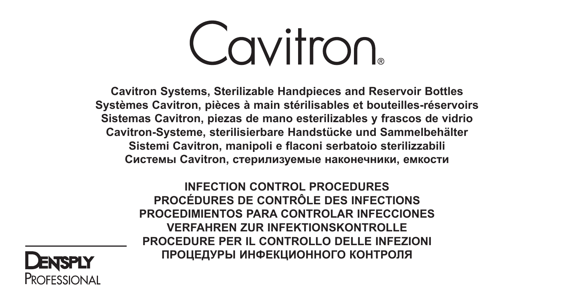**Cavitron** 

**Cavitron Systems, Sterilizable Handpieces and Reservoir Bottles Systèmes Cavitron, pièces à main stérilisables et bouteilles-réservoirs Sistemas Cavitron, piezas de mano esterilizables y frascos de vidrio Cavitron-Systeme, sterilisierbare Handstücke und Sammelbehälter Sistemi Cavitron, manipoli e flaconi serbatoio sterilizzabili Системы Cavitron, стерилизуемые наконечники, емкости**

> **INFECTION CONTROL PROCEDURES PROCÉDURES DE CONTRÔLE DES INFECTIONS PROCEDIMIENTOS PARA CONTROLAR INFECCIONES VERFAHREN ZUR INFEKTIONSKONTROLLE PROCEDURE PER IL CONTROLLO DELLE INFEZIONI ПРОЦЕДУРЫ ИНФЕКЦИОННОГО КОНТРОЛЯ**

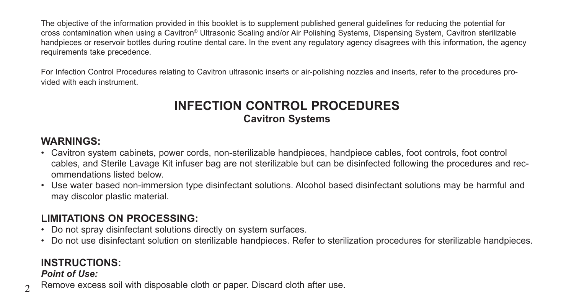The objective of the information provided in this booklet is to supplement published general guidelines for reducing the potential for cross contamination when using a Cavitron® Ultrasonic Scaling and/or Air Polishing Systems, Dispensing System, Cavitron sterilizable handpieces or reservoir bottles during routine dental care. In the event any regulatory agency disagrees with this information, the agency requirements take precedence.

For Infection Control Procedures relating to Cavitron ultrasonic inserts or air-polishing nozzles and inserts, refer to the procedures provided with each instrument.

## **INFECTION CONTROL PROCEDURES Cavitron Systems**

### **WARNINGS:**

- Cavitron system cabinets, power cords, non-sterilizable handpieces, handpiece cables, foot controls, foot control cables, and Sterile Lavage Kit infuser bag are not sterilizable but can be disinfected following the procedures and recommendations listed below.
- Use water based non-immersion type disinfectant solutions. Alcohol based disinfectant solutions may be harmful and may discolor plastic material.

### **LIMITATIONS ON PROCESSING:**

- Do not spray disinfectant solutions directly on system surfaces.
- Do not use disinfectant solution on sterilizable handpieces. Refer to sterilization procedures for sterilizable handpieces.

## **INSTRUCTIONS:**

### *Point of Use:*

 $\mathcal{D}$ Remove excess soil with disposable cloth or paper. Discard cloth after use.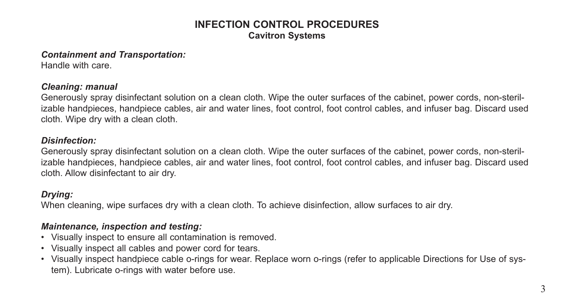### **INFECTION CONTROL PROCEDURES Cavitron Systems**

#### *Containment and Transportation:*

Handle with care.

### *Cleaning: manual*

Generously spray disinfectant solution on a clean cloth. Wipe the outer surfaces of the cabinet, power cords, non-sterilizable handpieces, handpiece cables, air and water lines, foot control, foot control cables, and infuser bag. Discard used cloth. Wipe dry with a clean cloth.

#### *Disinfection:*

Generously spray disinfectant solution on a clean cloth. Wipe the outer surfaces of the cabinet, power cords, non-sterilizable handpieces, handpiece cables, air and water lines, foot control, foot control cables, and infuser bag. Discard used cloth. Allow disinfectant to air dry.

### *Drying:*

When cleaning, wipe surfaces dry with a clean cloth. To achieve disinfection, allow surfaces to air dry.

### *Maintenance, inspection and testing:*

- Visually inspect to ensure all contamination is removed.
- Visually inspect all cables and power cord for tears.
- Visually inspect handpiece cable o-rings for wear. Replace worn o-rings (refer to applicable Directions for Use of system). Lubricate o-rings with water before use.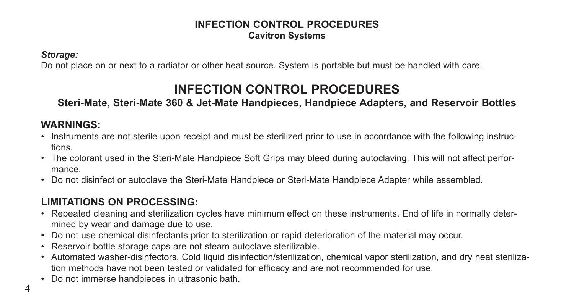### **INFECTION CONTROL PROCEDURES Cavitron Systems**

*Storage:*

Do not place on or next to a radiator or other heat source. System is portable but must be handled with care.

## **INFECTION CONTROL PROCEDURES**

### **Steri-Mate, Steri-Mate 360 & Jet-Mate Handpieces, Handpiece Adapters, and Reservoir Bottles**

## **WARNINGS:**

- Instruments are not sterile upon receipt and must be sterilized prior to use in accordance with the following instructions.
- The colorant used in the Steri-Mate Handpiece Soft Grips may bleed during autoclaving. This will not affect performance.
- Do not disinfect or autoclave the Steri-Mate Handpiece or Steri-Mate Handpiece Adapter while assembled.

## **LIMITATIONS ON PROCESSING:**

- Repeated cleaning and sterilization cycles have minimum effect on these instruments. End of life in normally determined by wear and damage due to use.
- Do not use chemical disinfectants prior to sterilization or rapid deterioration of the material may occur.
- Reservoir bottle storage caps are not steam autoclave sterilizable.
- Automated washer-disinfectors, Cold liquid disinfection/sterilization, chemical vapor sterilization, and dry heat sterilization methods have not been tested or validated for efficacy and are not recommended for use.
- Do not immerse handpieces in ultrasonic bath.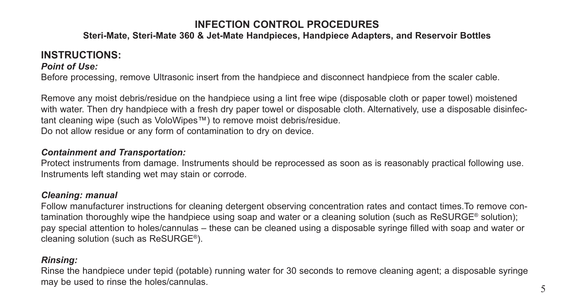### **Steri-Mate, Steri-Mate 360 & Jet-Mate Handpieces, Handpiece Adapters, and Reservoir Bottles**

### **INSTRUCTIONS:**

### *Point of Use:*

Before processing, remove Ultrasonic insert from the handpiece and disconnect handpiece from the scaler cable.

Remove any moist debris/residue on the handpiece using a lint free wipe (disposable cloth or paper towel) moistened with water. Then dry handpiece with a fresh dry paper towel or disposable cloth. Alternatively, use a disposable disinfectant cleaning wipe (such as VoloWipes™) to remove moist debris/residue. Do not allow residue or any form of contamination to dry on device.

#### *Containment and Transportation:*

Protect instruments from damage. Instruments should be reprocessed as soon as is reasonably practical following use. Instruments left standing wet may stain or corrode.

### *Cleaning: manual*

Follow manufacturer instructions for cleaning detergent observing concentration rates and contact times.To remove contamination thoroughly wipe the handpiece using soap and water or a cleaning solution (such as ReSURGE® solution); pay special attention to holes/cannulas – these can be cleaned using a disposable syringe filled with soap and water or cleaning solution (such as ReSURGE®).

### *Rinsing:*

Rinse the handpiece under tepid (potable) running water for 30 seconds to remove cleaning agent; a disposable syringe may be used to rinse the holes/cannulas.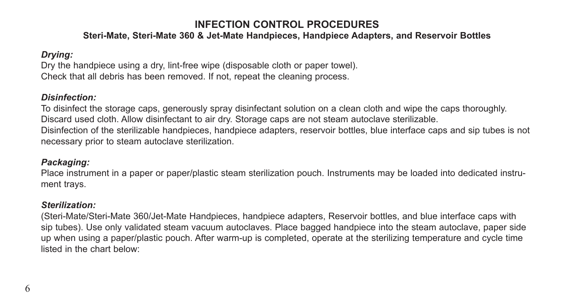### **Steri-Mate, Steri-Mate 360 & Jet-Mate Handpieces, Handpiece Adapters, and Reservoir Bottles**

### *Drying:*

Dry the handpiece using a dry, lint-free wipe (disposable cloth or paper towel). Check that all debris has been removed. If not, repeat the cleaning process.

### *Disinfection:*

To disinfect the storage caps, generously spray disinfectant solution on a clean cloth and wipe the caps thoroughly. Discard used cloth. Allow disinfectant to air dry. Storage caps are not steam autoclave sterilizable. Disinfection of the sterilizable handpieces, handpiece adapters, reservoir bottles, blue interface caps and sip tubes is not necessary prior to steam autoclave sterilization.

### *Packaging:*

Place instrument in a paper or paper/plastic steam sterilization pouch. Instruments may be loaded into dedicated instrument trays.

### *Sterilization:*

(Steri-Mate/Steri-Mate 360/Jet-Mate Handpieces, handpiece adapters, Reservoir bottles, and blue interface caps with sip tubes). Use only validated steam vacuum autoclaves. Place bagged handpiece into the steam autoclave, paper side up when using a paper/plastic pouch. After warm-up is completed, operate at the sterilizing temperature and cycle time listed in the chart below: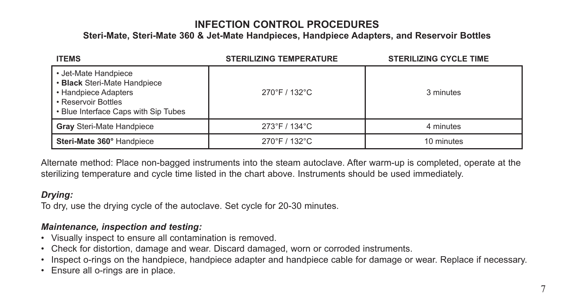**Steri-Mate, Steri-Mate 360 & Jet-Mate Handpieces, Handpiece Adapters, and Reservoir Bottles**

| <b>ITEMS</b>                                                                                                                                | <b>STERILIZING TEMPERATURE</b> | <b>STERILIZING CYCLE TIME</b> |
|---------------------------------------------------------------------------------------------------------------------------------------------|--------------------------------|-------------------------------|
| • Jet-Mate Handpiece<br>• Black Steri-Mate Handpiece<br>• Handpiece Adapters<br>• Reservoir Bottles<br>• Blue Interface Caps with Sip Tubes | 270°F / 132°C                  | 3 minutes                     |
| Gray Steri-Mate Handpiece                                                                                                                   | 273°F / 134°C                  | 4 minutes                     |
| Steri-Mate 360° Handpiece                                                                                                                   | 270°F / 132°C                  | 10 minutes                    |

Alternate method: Place non-bagged instruments into the steam autoclave. After warm-up is completed, operate at the sterilizing temperature and cycle time listed in the chart above. Instruments should be used immediately.

### *Drying:*

To dry, use the drying cycle of the autoclave. Set cycle for 20-30 minutes.

### *Maintenance, inspection and testing:*

- Visually inspect to ensure all contamination is removed.
- Check for distortion, damage and wear. Discard damaged, worn or corroded instruments.
- Inspect o-rings on the handpiece, handpiece adapter and handpiece cable for damage or wear. Replace if necessary.
- Ensure all o-rings are in place.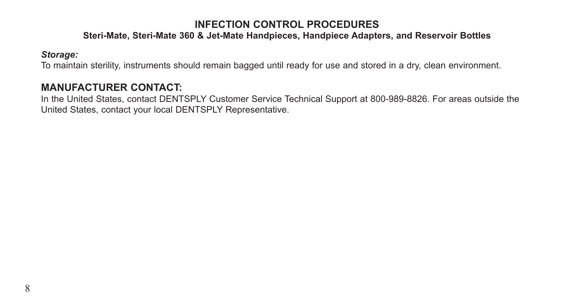### **Steri-Mate, Steri-Mate 360 & Jet-Mate Handpieces, Handpiece Adapters, and Reservoir Bottles**

#### *Storage:*

To maintain sterility, instruments should remain bagged until ready for use and stored in a dry, clean environment.

### **MANUFACTURER CONTACT:**

In the United States, contact DENTSPLY Customer Service Technical Support at 800-989-8826. For areas outside the United States, contact your local DENTSPLY Representative.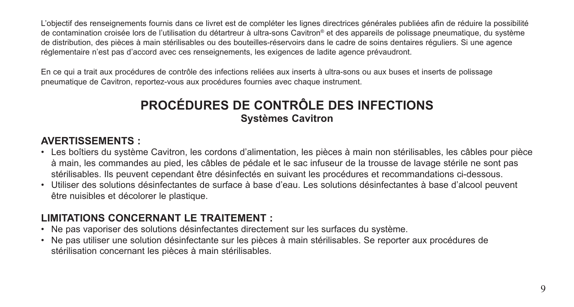L'objectif des renseignements fournis dans ce livret est de compléter les lignes directrices générales publiées afin de réduire la possibilité de contamination croisée lors de l'utilisation du détartreur à ultra-sons Cavitron® et des appareils de polissage pneumatique, du système de distribution, des pièces à main stérilisables ou des bouteilles-réservoirs dans le cadre de soins dentaires réguliers. Si une agence réglementaire n'est pas d'accord avec ces renseignements, les exigences de ladite agence prévaudront.

En ce qui a trait aux procédures de contrôle des infections reliées aux inserts à ultra-sons ou aux buses et inserts de polissage pneumatique de Cavitron, reportez-vous aux procédures fournies avec chaque instrument.

## **PROCÉDURES DE CONTRÔLE DES INFECTIONS Systèmes Cavitron**

### **AVERTISSEMENTS :**

- Les boîtiers du système Cavitron, les cordons d'alimentation, les pièces à main non stérilisables, les câbles pour pièce à main, les commandes au pied, les câbles de pédale et le sac infuseur de la trousse de lavage stérile ne sont pas stérilisables. Ils peuvent cependant être désinfectés en suivant les procédures et recommandations ci-dessous.
- Utiliser des solutions désinfectantes de surface à base d'eau. Les solutions désinfectantes à base d'alcool peuvent être nuisibles et décolorer le plastique.

## **LIMITATIONS CONCERNANT LE TRAITEMENT :**

- Ne pas vaporiser des solutions désinfectantes directement sur les surfaces du système.
- Ne pas utiliser une solution désinfectante sur les pièces à main stérilisables. Se reporter aux procédures de stérilisation concernant les pièces à main stérilisables.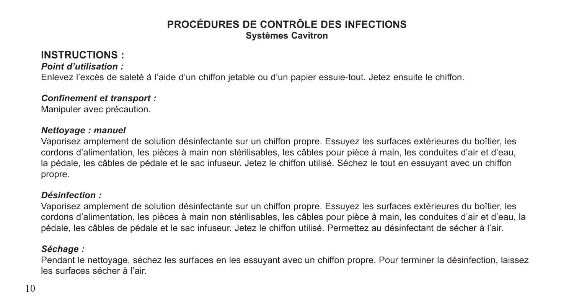## **PROCÉDURES DE CONTRÔLE DES INFECTIONS Systèmes Cavitron**

## **INSTRUCTIONS :**

### *Point d'utilisation :*

Enlevez l'excès de saleté à l'aide d'un chiffon jetable ou d'un papier essuie-tout. Jetez ensuite le chiffon.

### *Confinement et transport :*

Manipuler avec précaution.

#### *Nettoyage : manuel*

Vaporisez amplement de solution désinfectante sur un chiffon propre. Essuyez les surfaces extérieures du boîtier, les cordons d'alimentation, les pièces à main non stérilisables, les câbles pour pièce à main, les conduites d'air et d'eau, la pédale, les câbles de pédale et le sac infuseur. Jetez le chiffon utilisé. Séchez le tout en essuyant avec un chiffon propre.

### *Désinfection :*

Vaporisez amplement de solution désinfectante sur un chiffon propre. Essuyez les surfaces extérieures du boîtier, les cordons d'alimentation, les pièces à main non stérilisables, les câbles pour pièce à main, les conduites d'air et d'eau, la pédale, les câbles de pédale et le sac infuseur. Jetez le chiffon utilisé. Permettez au désinfectant de sécher à l'air.

### *Séchage :*

Pendant le nettoyage, séchez les surfaces en les essuyant avec un chiffon propre. Pour terminer la désinfection, laissez les surfaces sécher à l'air.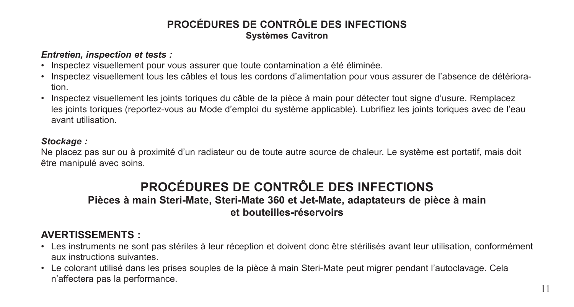## **PROCÉDURES DE CONTRÔLE DES INFECTIONS Systèmes Cavitron**

#### *Entretien, inspection et tests :*

- Inspectez visuellement pour vous assurer que toute contamination a été éliminée.
- Inspectez visuellement tous les câbles et tous les cordons d'alimentation pour vous assurer de l'absence de détérioration.
- Inspectez visuellement les joints toriques du câble de la pièce à main pour détecter tout signe d'usure. Remplacez les joints toriques (reportez-vous au Mode d'emploi du système applicable). Lubrifiez les joints toriques avec de l'eau avant utilisation.

### *Stockage :*

Ne placez pas sur ou à proximité d'un radiateur ou de toute autre source de chaleur. Le système est portatif, mais doit être manipulé avec soins.

# **PROCÉDURES DE CONTRÔLE DES INFECTIONS**

### **Pièces à main Steri-Mate, Steri-Mate 360 et Jet-Mate, adaptateurs de pièce à main et bouteilles-réservoirs**

## **AVERTISSEMENTS :**

- Les instruments ne sont pas stériles à leur réception et doivent donc être stérilisés avant leur utilisation, conformément aux instructions suivantes.
- Le colorant utilisé dans les prises souples de la pièce à main Steri-Mate peut migrer pendant l'autoclavage. Cela n'affectera pas la performance.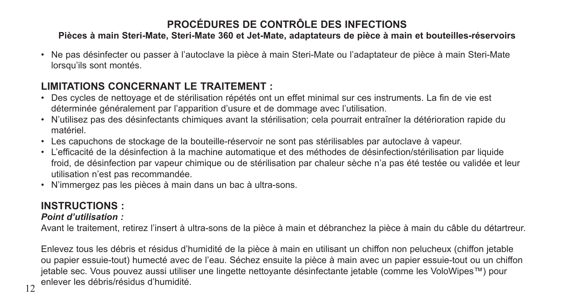### **Pièces à main Steri-Mate, Steri-Mate 360 et Jet-Mate, adaptateurs de pièce à main et bouteilles-réservoirs**

• Ne pas désinfecter ou passer à l'autoclave la pièce à main Steri-Mate ou l'adaptateur de pièce à main Steri-Mate lorsqu'ils sont montés.

## **LIMITATIONS CONCERNANT LE TRAITEMENT :**

- Des cycles de nettoyage et de stérilisation répétés ont un effet minimal sur ces instruments. La fin de vie est déterminée généralement par l'apparition d'usure et de dommage avec l'utilisation.
- N'utilisez pas des désinfectants chimiques avant la stérilisation; cela pourrait entraîner la détérioration rapide du matériel.
- Les capuchons de stockage de la bouteille-réservoir ne sont pas stérilisables par autoclave à vapeur.
- L'efficacité de la désinfection à la machine automatique et des méthodes de désinfection/stérilisation par liquide froid, de désinfection par vapeur chimique ou de stérilisation par chaleur sèche n'a pas été testée ou validée et leur utilisation n'est pas recommandée.
- N'immergez pas les pièces à main dans un bac à ultra-sons.

# **INSTRUCTIONS :**

### *Point d'utilisation :*

Avant le traitement, retirez l'insert à ultra-sons de la pièce à main et débranchez la pièce à main du câble du détartreur.

Enlevez tous les débris et résidus d'humidité de la pièce à main en utilisant un chiffon non pelucheux (chiffon jetable ou papier essuie-tout) humecté avec de l'eau. Séchez ensuite la pièce à main avec un papier essuie-tout ou un chiffon jetable sec. Vous pouvez aussi utiliser une lingette nettoyante désinfectante jetable (comme les VoloWipes™) pour enlever les débris/résidus d'humidité.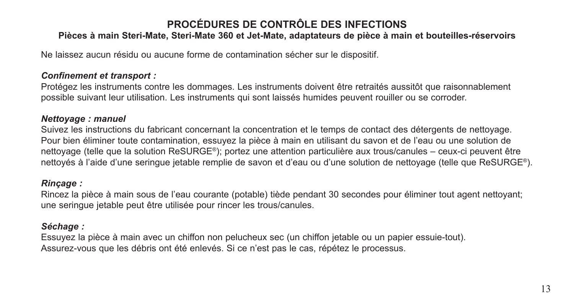### **Pièces à main Steri-Mate, Steri-Mate 360 et Jet-Mate, adaptateurs de pièce à main et bouteilles-réservoirs**

Ne laissez aucun résidu ou aucune forme de contamination sécher sur le dispositif.

#### *Confinement et transport :*

Protégez les instruments contre les dommages. Les instruments doivent être retraités aussitôt que raisonnablement possible suivant leur utilisation. Les instruments qui sont laissés humides peuvent rouiller ou se corroder.

#### *Nettoyage : manuel*

Suivez les instructions du fabricant concernant la concentration et le temps de contact des détergents de nettoyage. Pour bien éliminer toute contamination, essuyez la pièce à main en utilisant du savon et de l'eau ou une solution de nettoyage (telle que la solution ReSURGE®); portez une attention particulière aux trous/canules – ceux-ci peuvent être nettoyés à l'aide d'une seringue jetable remplie de savon et d'eau ou d'une solution de nettoyage (telle que ReSURGE®).

### *Rinçage :*

Rincez la pièce à main sous de l'eau courante (potable) tiède pendant 30 secondes pour éliminer tout agent nettoyant; une seringue jetable peut être utilisée pour rincer les trous/canules.

### *Séchage :*

Essuyez la pièce à main avec un chiffon non pelucheux sec (un chiffon jetable ou un papier essuie-tout). Assurez-vous que les débris ont été enlevés. Si ce n'est pas le cas, répétez le processus.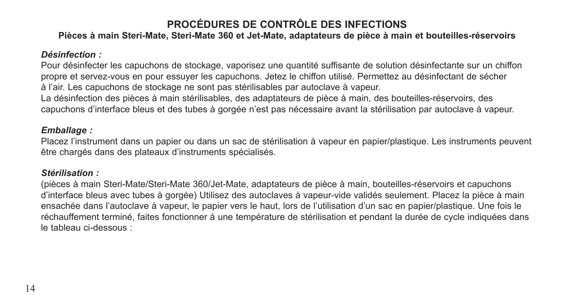### **Pièces à main Steri-Mate, Steri-Mate 360 et Jet-Mate, adaptateurs de pièce à main et bouteilles-réservoirs**

#### *Désinfection :*

Pour désinfecter les capuchons de stockage, vaporisez une quantité suffisante de solution désinfectante sur un chiffon propre et servez-vous en pour essuyer les capuchons. Jetez le chiffon utilisé. Permettez au désinfectant de sécher à l'air. Les capuchons de stockage ne sont pas stérilisables par autoclave à vapeur.

La désinfection des pièces à main stérilisables, des adaptateurs de pièce à main, des bouteilles-réservoirs, des capuchons d'interface bleus et des tubes à gorgée n'est pas nécessaire avant la stérilisation par autoclave à vapeur.

#### *Emballage :*

Placez l'instrument dans un papier ou dans un sac de stérilisation à vapeur en papier/plastique. Les instruments peuvent être chargés dans des plateaux d'instruments spécialisés.

#### *Stérilisation :*

(pièces à main Steri-Mate/Steri-Mate 360/Jet-Mate, adaptateurs de pièce à main, bouteilles-réservoirs et capuchons d'interface bleus avec tubes à gorgée) Utilisez des autoclaves à vapeur-vide validés seulement. Placez la pièce à main ensachée dans l'autoclave à vapeur, le papier vers le haut, lors de l'utilisation d'un sac en papier/plastique. Une fois le réchauffement terminé, faites fonctionner à une température de stérilisation et pendant la durée de cycle indiquées dans le tableau ci-dessous :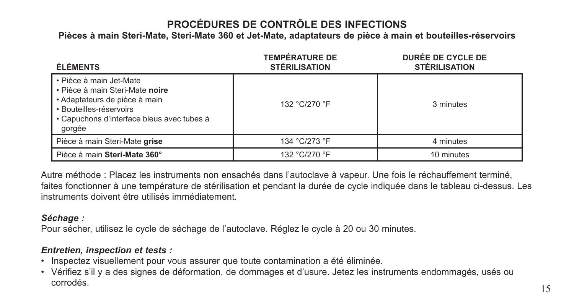**Pièces à main Steri-Mate, Steri-Mate 360 et Jet-Mate, adaptateurs de pièce à main et bouteilles-réservoirs**

| <b>ÉLÉMENTS</b>                                                                                                                                                                | <b>TEMPÉRATURE DE</b><br><b>STÉRILISATION</b> | DURÉE DE CYCLE DE<br><b>STÉRILISATION</b> |
|--------------------------------------------------------------------------------------------------------------------------------------------------------------------------------|-----------------------------------------------|-------------------------------------------|
| • Pièce à main Jet-Mate<br>• Pièce à main Steri-Mate noire<br>• Adaptateurs de pièce à main<br>· Bouteilles-réservoirs<br>• Capuchons d'interface bleus avec tubes à<br>gorgée | 132 °C/270 °F                                 | 3 minutes                                 |
| Pièce à main Steri-Mate grise                                                                                                                                                  | 134 °C/273 °F                                 | 4 minutes                                 |
| Pièce à main Steri-Mate 360°                                                                                                                                                   | 132 °C/270 °F                                 | 10 minutes                                |

Autre méthode : Placez les instruments non ensachés dans l'autoclave à vapeur. Une fois le réchauffement terminé, faites fonctionner à une température de stérilisation et pendant la durée de cycle indiquée dans le tableau ci-dessus. Les instruments doivent être utilisés immédiatement.

### *Séchage :*

Pour sécher, utilisez le cycle de séchage de l'autoclave. Réglez le cycle à 20 ou 30 minutes.

### *Entretien, inspection et tests :*

- Inspectez visuellement pour vous assurer que toute contamination a été éliminée.
- Vérifiez s'il y a des signes de déformation, de dommages et d'usure. Jetez les instruments endommagés, usés ou corrodés.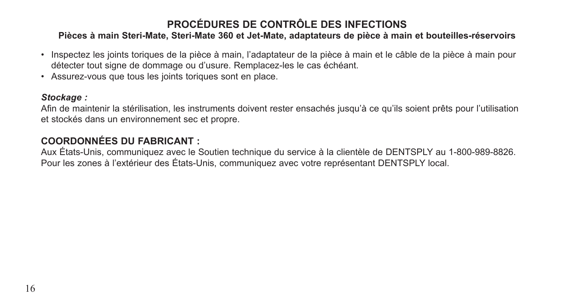### **Pièces à main Steri-Mate, Steri-Mate 360 et Jet-Mate, adaptateurs de pièce à main et bouteilles-réservoirs**

- Inspectez les joints toriques de la pièce à main, l'adaptateur de la pièce à main et le câble de la pièce à main pour détecter tout signe de dommage ou d'usure. Remplacez-les le cas échéant.
- Assurez-vous que tous les joints toriques sont en place.

### *Stockage :*

Afin de maintenir la stérilisation, les instruments doivent rester ensachés jusqu'à ce qu'ils soient prêts pour l'utilisation et stockés dans un environnement sec et propre.

### **COORDONNÉES DU FABRICANT :**

Aux États-Unis, communiquez avec le Soutien technique du service à la clientèle de DENTSPLY au 1-800-989-8826. Pour les zones à l'extérieur des États-Unis, communiquez avec votre représentant DENTSPLY local.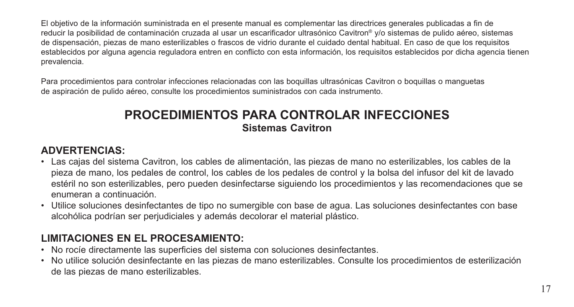El objetivo de la información suministrada en el presente manual es complementar las directrices generales publicadas a fin de reducir la posibilidad de contaminación cruzada al usar un escarificador ultrasónico Cavitron® y/o sistemas de pulido aéreo, sistemas de dispensación, piezas de mano esterilizables o frascos de vidrio durante el cuidado dental habitual. En caso de que los requisitos establecidos por alguna agencia reguladora entren en conflicto con esta información, los requisitos establecidos por dicha agencia tienen prevalencia.

Para procedimientos para controlar infecciones relacionadas con las boquillas ultrasónicas Cavitron o boquillas o manguetas de aspiración de pulido aéreo, consulte los procedimientos suministrados con cada instrumento.

## **PROCEDIMIENTOS PARA CONTROLAR INFECCIONES Sistemas Cavitron**

## **ADVERTENCIAS:**

- Las cajas del sistema Cavitron, los cables de alimentación, las piezas de mano no esterilizables, los cables de la pieza de mano, los pedales de control, los cables de los pedales de control y la bolsa del infusor del kit de lavado estéril no son esterilizables, pero pueden desinfectarse siguiendo los procedimientos y las recomendaciones que se enumeran a continuación.
- Utilice soluciones desinfectantes de tipo no sumergible con base de agua. Las soluciones desinfectantes con base alcohólica podrían ser perjudiciales y además decolorar el material plástico.

## **LIMITACIONES EN EL PROCESAMIENTO:**

- No rocíe directamente las superficies del sistema con soluciones desinfectantes.
- No utilice solución desinfectante en las piezas de mano esterilizables. Consulte los procedimientos de esterilización de las piezas de mano esterilizables.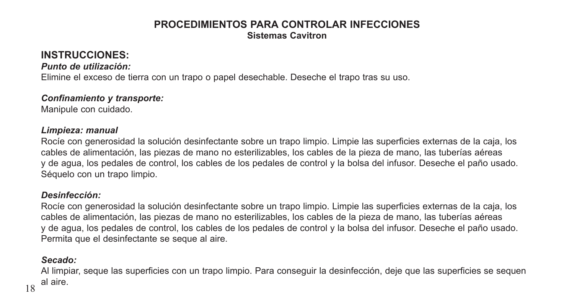### **PROCEDIMIENTOS PARA CONTROLAR INFECCIONES Sistemas Cavitron**

## **INSTRUCCIONES:**

*Punto de utilización:* 

Elimine el exceso de tierra con un trapo o papel desechable. Deseche el trapo tras su uso.

### *Confinamiento y transporte:*

Manipule con cuidado.

#### *Limpieza: manual*

Rocíe con generosidad la solución desinfectante sobre un trapo limpio. Limpie las superficies externas de la caja, los cables de alimentación, las piezas de mano no esterilizables, los cables de la pieza de mano, las tuberías aéreas y de agua, los pedales de control, los cables de los pedales de control y la bolsa del infusor. Deseche el paño usado. Séquelo con un trapo limpio.

### *Desinfección:*

Rocíe con generosidad la solución desinfectante sobre un trapo limpio. Limpie las superficies externas de la caja, los cables de alimentación, las piezas de mano no esterilizables, los cables de la pieza de mano, las tuberías aéreas y de agua, los pedales de control, los cables de los pedales de control y la bolsa del infusor. Deseche el paño usado. Permita que el desinfectante se seque al aire.

### *Secado:*

Al limpiar, seque las superficies con un trapo limpio. Para conseguir la desinfección, deje que las superficies se sequen al aire.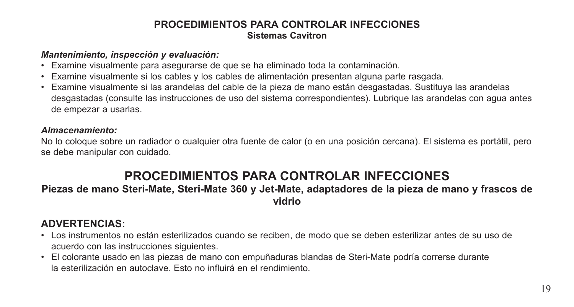### **PROCEDIMIENTOS PARA CONTROLAR INFECCIONES Sistemas Cavitron**

#### *Mantenimiento, inspección y evaluación:*

- Examine visualmente para asegurarse de que se ha eliminado toda la contaminación.
- Examine visualmente si los cables y los cables de alimentación presentan alguna parte rasgada.
- Examine visualmente si las arandelas del cable de la pieza de mano están desgastadas. Sustituya las arandelas desgastadas (consulte las instrucciones de uso del sistema correspondientes). Lubrique las arandelas con agua antes de empezar a usarlas.

### *Almacenamiento:*

No lo coloque sobre un radiador o cualquier otra fuente de calor (o en una posición cercana). El sistema es portátil, pero se debe manipular con cuidado.

## **PROCEDIMIENTOS PARA CONTROLAR INFECCIONES**

### **Piezas de mano Steri-Mate, Steri-Mate 360 y Jet-Mate, adaptadores de la pieza de mano y frascos de vidrio**

## **ADVERTENCIAS:**

- Los instrumentos no están esterilizados cuando se reciben, de modo que se deben esterilizar antes de su uso de acuerdo con las instrucciones siguientes.
- El colorante usado en las piezas de mano con empuñaduras blandas de Steri-Mate podría correrse durante la esterilización en autoclave. Esto no influirá en el rendimiento.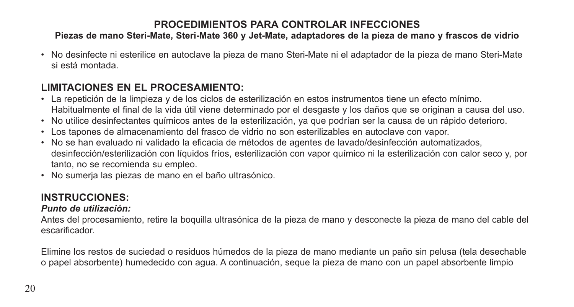### **Piezas de mano Steri-Mate, Steri-Mate 360 y Jet-Mate, adaptadores de la pieza de mano y frascos de vidrio**

• No desinfecte ni esterilice en autoclave la pieza de mano Steri-Mate ni el adaptador de la pieza de mano Steri-Mate si está montada.

## **LIMITACIONES EN EL PROCESAMIENTO:**

- La repetición de la limpieza y de los ciclos de esterilización en estos instrumentos tiene un efecto mínimo. Habitualmente el final de la vida útil viene determinado por el desgaste y los daños que se originan a causa del uso.
- No utilice desinfectantes químicos antes de la esterilización, ya que podrían ser la causa de un rápido deterioro.
- Los tapones de almacenamiento del frasco de vidrio no son esterilizables en autoclave con vapor.
- No se han evaluado ni validado la eficacia de métodos de agentes de lavado/desinfección automatizados, desinfección/esterilización con líquidos fríos, esterilización con vapor químico ni la esterilización con calor seco y, por tanto, no se recomienda su empleo.
- No sumerja las piezas de mano en el baño ultrasónico.

## **INSTRUCCIONES:**

### *Punto de utilización:*

Antes del procesamiento, retire la boquilla ultrasónica de la pieza de mano y desconecte la pieza de mano del cable del escarificador.

Elimine los restos de suciedad o residuos húmedos de la pieza de mano mediante un paño sin pelusa (tela desechable o papel absorbente) humedecido con agua. A continuación, seque la pieza de mano con un papel absorbente limpio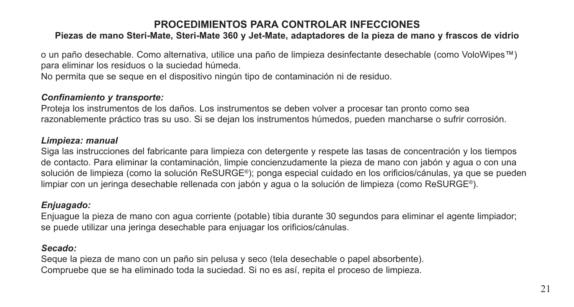### **Piezas de mano Steri-Mate, Steri-Mate 360 y Jet-Mate, adaptadores de la pieza de mano y frascos de vidrio**

o un paño desechable. Como alternativa, utilice una paño de limpieza desinfectante desechable (como VoloWipes™) para eliminar los residuos o la suciedad húmeda. No permita que se seque en el dispositivo ningún tipo de contaminación ni de residuo.

### *Confinamiento y transporte:*

Proteja los instrumentos de los daños. Los instrumentos se deben volver a procesar tan pronto como sea razonablemente práctico tras su uso. Si se dejan los instrumentos húmedos, pueden mancharse o sufrir corrosión.

#### *Limpieza: manual*

Siga las instrucciones del fabricante para limpieza con detergente y respete las tasas de concentración y los tiempos de contacto. Para eliminar la contaminación, limpie concienzudamente la pieza de mano con jabón y agua o con una solución de limpieza (como la solución ReSURGE®); ponga especial cuidado en los orificios/cánulas, ya que se pueden limpiar con un jeringa desechable rellenada con jabón y agua o la solución de limpieza (como ReSURGE®).

### *Enjuagado:*

Enjuague la pieza de mano con agua corriente (potable) tibia durante 30 segundos para eliminar el agente limpiador; se puede utilizar una jeringa desechable para enjuagar los orificios/cánulas.

### *Secado:*

Seque la pieza de mano con un paño sin pelusa y seco (tela desechable o papel absorbente). Compruebe que se ha eliminado toda la suciedad. Si no es así, repita el proceso de limpieza.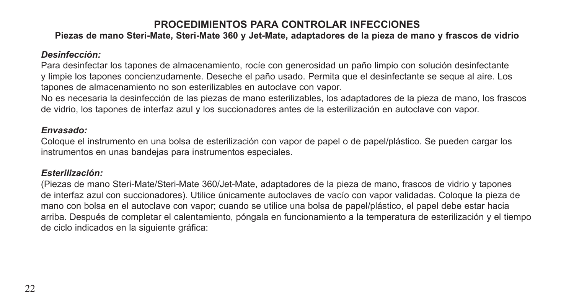### **Piezas de mano Steri-Mate, Steri-Mate 360 y Jet-Mate, adaptadores de la pieza de mano y frascos de vidrio**

### *Desinfección:*

Para desinfectar los tapones de almacenamiento, rocíe con generosidad un paño limpio con solución desinfectante y limpie los tapones concienzudamente. Deseche el paño usado. Permita que el desinfectante se seque al aire. Los tapones de almacenamiento no son esterilizables en autoclave con vapor.

No es necesaria la desinfección de las piezas de mano esterilizables, los adaptadores de la pieza de mano, los frascos de vidrio, los tapones de interfaz azul y los succionadores antes de la esterilización en autoclave con vapor.

#### *Envasado:*

Coloque el instrumento en una bolsa de esterilización con vapor de papel o de papel/plástico. Se pueden cargar los instrumentos en unas bandejas para instrumentos especiales.

#### *Esterilización:*

(Piezas de mano Steri-Mate/Steri-Mate 360/Jet-Mate, adaptadores de la pieza de mano, frascos de vidrio y tapones de interfaz azul con succionadores). Utilice únicamente autoclaves de vacío con vapor validadas. Coloque la pieza de mano con bolsa en el autoclave con vapor; cuando se utilice una bolsa de papel/plástico, el papel debe estar hacia arriba. Después de completar el calentamiento, póngala en funcionamiento a la temperatura de esterilización y el tiempo de ciclo indicados en la siguiente gráfica: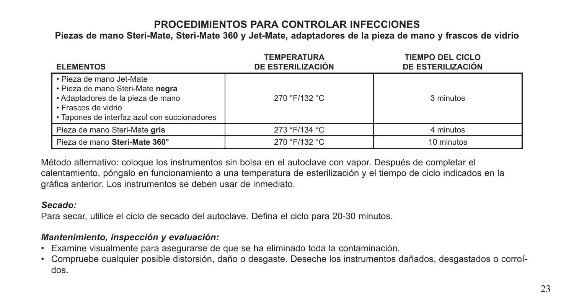**Piezas de mano Steri-Mate, Steri-Mate 360 y Jet-Mate, adaptadores de la pieza de mano y frascos de vidrio**

| <b>ELEMENTOS</b>                                                                                                                                                         | <b>TEMPERATURA</b><br>DE ESTERILIZACIÓN | <b>TIEMPO DEL CICLO</b><br>DE ESTERILIZACIÓN |
|--------------------------------------------------------------------------------------------------------------------------------------------------------------------------|-----------------------------------------|----------------------------------------------|
| • Pieza de mano Jet-Mate<br>· Pieza de mano Steri-Mate negra<br>• Adaptadores de la pieza de mano<br>• Frascos de vidrio<br>• Tapones de interfaz azul con succionadores | 270 °F/132 °C                           | 3 minutos                                    |
| Pieza de mano Steri-Mate gris                                                                                                                                            | 273 °F/134 °C                           | 4 minutos                                    |
| Pieza de mano Steri-Mate 360°                                                                                                                                            | 270 °F/132 °C                           | 10 minutos                                   |

Método alternativo: coloque los instrumentos sin bolsa en el autoclave con vapor. Después de completar el calentamiento, póngalo en funcionamiento a una temperatura de esterilización y el tiempo de ciclo indicados en la gráfica anterior. Los instrumentos se deben usar de inmediato.

### *Secado:*

Para secar, utilice el ciclo de secado del autoclave. Defina el ciclo para 20-30 minutos.

### *Mantenimiento, inspección y evaluación:*

- Examine visualmente para asegurarse de que se ha eliminado toda la contaminación.
- Compruebe cualquier posible distorsión, daño o desgaste. Deseche los instrumentos dañados, desgastados o corroídos.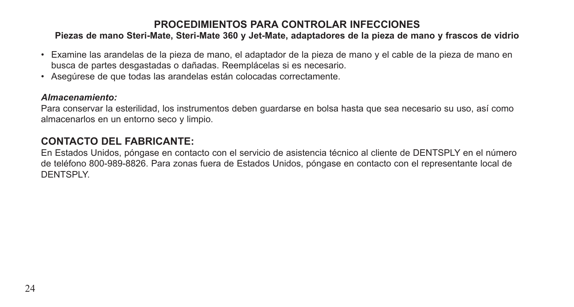### **Piezas de mano Steri-Mate, Steri-Mate 360 y Jet-Mate, adaptadores de la pieza de mano y frascos de vidrio**

- Examine las arandelas de la pieza de mano, el adaptador de la pieza de mano y el cable de la pieza de mano en busca de partes desgastadas o dañadas. Reemplácelas si es necesario.
- Asegúrese de que todas las arandelas están colocadas correctamente.

### *Almacenamiento:*

Para conservar la esterilidad, los instrumentos deben guardarse en bolsa hasta que sea necesario su uso, así como almacenarlos en un entorno seco y limpio.

### **CONTACTO DEL FABRICANTE:**

En Estados Unidos, póngase en contacto con el servicio de asistencia técnico al cliente de DENTSPLY en el número de teléfono 800-989-8826. Para zonas fuera de Estados Unidos, póngase en contacto con el representante local de DENTSPLY.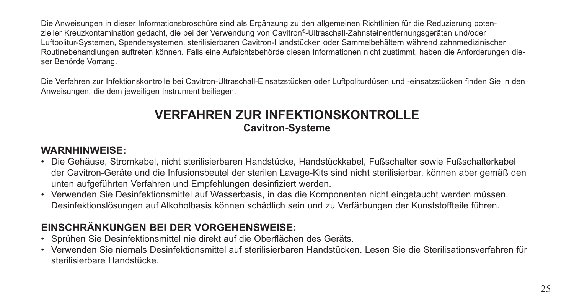Die Anweisungen in dieser Informationsbroschüre sind als Ergänzung zu den allgemeinen Richtlinien für die Reduzierung potenzieller Kreuzkontamination gedacht, die bei der Verwendung von Cavitron®-Ultraschall-Zahnsteinentfernungsgeräten und/oder Luftpolitur-Systemen, Spendersystemen, sterilisierbaren Cavitron-Handstücken oder Sammelbehältern während zahnmedizinischer Routinebehandlungen auftreten können. Falls eine Aufsichtsbehörde diesen Informationen nicht zustimmt, haben die Anforderungen dieser Behörde Vorrang.

Die Verfahren zur Infektionskontrolle bei Cavitron-Ultraschall-Einsatzstücken oder Luftpoliturdüsen und -einsatzstücken finden Sie in den Anweisungen, die dem jeweiligen Instrument beiliegen.

## **VERFAHREN ZUR INFEKTIONSKONTROLLE Cavitron-Systeme**

### **WARNHINWEISE:**

- Die Gehäuse, Stromkabel, nicht sterilisierbaren Handstücke, Handstückkabel, Fußschalter sowie Fußschalterkabel der Cavitron-Geräte und die Infusionsbeutel der sterilen Lavage-Kits sind nicht sterilisierbar, können aber gemäß den unten aufgeführten Verfahren und Empfehlungen desinfiziert werden.
- Verwenden Sie Desinfektionsmittel auf Wasserbasis, in das die Komponenten nicht eingetaucht werden müssen. Desinfektionslösungen auf Alkoholbasis können schädlich sein und zu Verfärbungen der Kunststoffteile führen.

## **EINSCHRÄNKUNGEN BEI DER VORGEHENSWEISE:**

- Sprühen Sie Desinfektionsmittel nie direkt auf die Oberflächen des Geräts.
- Verwenden Sie niemals Desinfektionsmittel auf sterilisierbaren Handstücken. Lesen Sie die Sterilisationsverfahren für sterilisierbare Handstücke.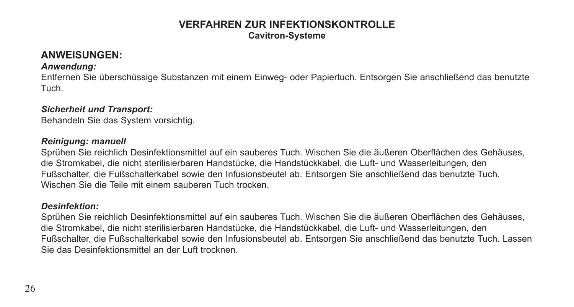### **VERFAHREN ZUR INFEKTIONSKONTROLLE Cavitron-Systeme**

### **ANWEISUNGEN:**

#### *Anwendung:*

Entfernen Sie überschüssige Substanzen mit einem Einweg- oder Papiertuch. Entsorgen Sie anschließend das benutzte Tuch.

#### *Sicherheit und Transport:*

Behandeln Sie das System vorsichtig.

#### *Reinigung: manuell*

Sprühen Sie reichlich Desinfektionsmittel auf ein sauberes Tuch. Wischen Sie die äußeren Oberflächen des Gehäuses, die Stromkabel, die nicht sterilisierbaren Handstücke, die Handstückkabel, die Luft- und Wasserleitungen, den Fußschalter, die Fußschalterkabel sowie den Infusionsbeutel ab. Entsorgen Sie anschließend das benutzte Tuch. Wischen Sie die Teile mit einem sauberen Tuch trocken.

#### *Desinfektion:*

Sprühen Sie reichlich Desinfektionsmittel auf ein sauberes Tuch. Wischen Sie die äußeren Oberflächen des Gehäuses, die Stromkabel, die nicht sterilisierbaren Handstücke, die Handstückkabel, die Luft- und Wasserleitungen, den Fußschalter, die Fußschalterkabel sowie den Infusionsbeutel ab. Entsorgen Sie anschließend das benutzte Tuch. Lassen Sie das Desinfektionsmittel an der Luft trocknen.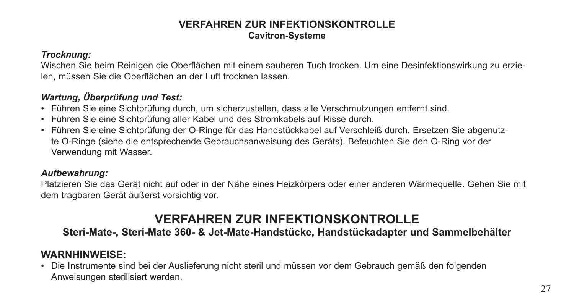### **VERFAHREN ZUR INFEKTIONSKONTROLLE Cavitron-Systeme**

#### *Trocknung:*

Wischen Sie beim Reinigen die Oberflächen mit einem sauberen Tuch trocken. Um eine Desinfektionswirkung zu erzielen, müssen Sie die Oberflächen an der Luft trocknen lassen.

### *Wartung, Überprüfung und Test:*

- Führen Sie eine Sichtprüfung durch, um sicherzustellen, dass alle Verschmutzungen entfernt sind.
- Führen Sie eine Sichtprüfung aller Kabel und des Stromkabels auf Risse durch.
- Führen Sie eine Sichtprüfung der O-Ringe für das Handstückkabel auf Verschleiß durch. Ersetzen Sie abgenutzte O-Ringe (siehe die entsprechende Gebrauchsanweisung des Geräts). Befeuchten Sie den O-Ring vor der Verwendung mit Wasser.

### *Aufbewahrung:*

Platzieren Sie das Gerät nicht auf oder in der Nähe eines Heizkörpers oder einer anderen Wärmequelle. Gehen Sie mit dem tragbaren Gerät äußerst vorsichtig vor.

## **VERFAHREN ZUR INFEKTIONSKONTROLLE**

### **Steri-Mate-, Steri-Mate 360- & Jet-Mate-Handstücke, Handstückadapter und Sammelbehälter**

## **WARNHINWEISE:**

• Die Instrumente sind bei der Auslieferung nicht steril und müssen vor dem Gebrauch gemäß den folgenden Anweisungen sterilisiert werden.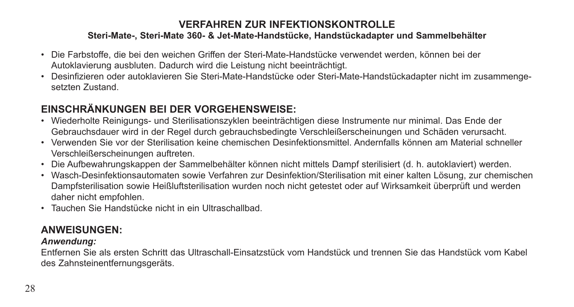### **Steri-Mate-, Steri-Mate 360- & Jet-Mate-Handstücke, Handstückadapter und Sammelbehälter**

- Die Farbstoffe, die bei den weichen Griffen der Steri-Mate-Handstücke verwendet werden, können bei der Autoklavierung ausbluten. Dadurch wird die Leistung nicht beeinträchtigt.
- Desinfizieren oder autoklavieren Sie Steri-Mate-Handstücke oder Steri-Mate-Handstückadapter nicht im zusammengesetzten Zustand.

## **EINSCHRÄNKUNGEN BEI DER VORGEHENSWEISE:**

- Wiederholte Reinigungs- und Sterilisationszyklen beeinträchtigen diese Instrumente nur minimal. Das Ende der Gebrauchsdauer wird in der Regel durch gebrauchsbedingte Verschleißerscheinungen und Schäden verursacht.
- Verwenden Sie vor der Sterilisation keine chemischen Desinfektionsmittel. Andernfalls können am Material schneller Verschleißerscheinungen auftreten.
- Die Aufbewahrungskappen der Sammelbehälter können nicht mittels Dampf sterilisiert (d. h. autoklaviert) werden.
- Wasch-Desinfektionsautomaten sowie Verfahren zur Desinfektion/Sterilisation mit einer kalten Lösung, zur chemischen Dampfsterilisation sowie Heißluftsterilisation wurden noch nicht getestet oder auf Wirksamkeit überprüft und werden daher nicht empfohlen.
- Tauchen Sie Handstücke nicht in ein Ultraschallbad.

## **ANWEISUNGEN:**

### *Anwendung:*

Entfernen Sie als ersten Schritt das Ultraschall-Einsatzstück vom Handstück und trennen Sie das Handstück vom Kabel des Zahnsteinentfernungsgeräts.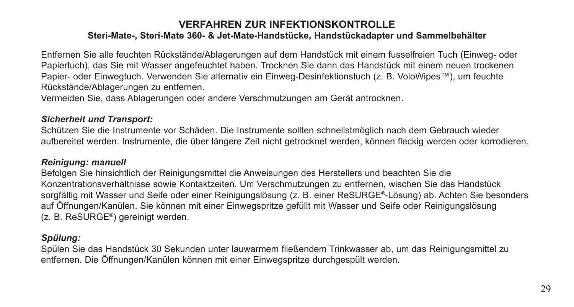#### **Steri-Mate-, Steri-Mate 360- & Jet-Mate-Handstücke, Handstückadapter und Sammelbehälter**

Entfernen Sie alle feuchten Rückstände/Ablagerungen auf dem Handstück mit einem fusselfreien Tuch (Einweg- oder Papiertuch), das Sie mit Wasser angefeuchtet haben. Trocknen Sie dann das Handstück mit einem neuen trockenen Papier- oder Einwegtuch. Verwenden Sie alternativ ein Einweg-Desinfektionstuch (z. B. VoloWipes™), um feuchte Rückstände/Ablagerungen zu entfernen.

Vermeiden Sie, dass Ablagerungen oder andere Verschmutzungen am Gerät antrocknen.

#### *Sicherheit und Transport:*

Schützen Sie die Instrumente vor Schäden. Die Instrumente sollten schnellstmöglich nach dem Gebrauch wieder aufbereitet werden. Instrumente, die über längere Zeit nicht getrocknet werden, können fleckig werden oder korrodieren.

### *Reinigung: manuell*

Befolgen Sie hinsichtlich der Reinigungsmittel die Anweisungen des Herstellers und beachten Sie die Konzentrationsverhältnisse sowie Kontaktzeiten. Um Verschmutzungen zu entfernen, wischen Sie das Handstück sorgfältig mit Wasser und Seife oder einer Reinigungslösung (z. B. einer ReSURGE®-Lösung) ab. Achten Sie besonders auf Öffnungen/Kanülen. Sie können mit einer Einwegspritze gefüllt mit Wasser und Seife oder Reinigungslösung (z. B. ReSURGE®) gereinigt werden.

### *Spülung:*

Spülen Sie das Handstück 30 Sekunden unter lauwarmem fließendem Trinkwasser ab, um das Reinigungsmittel zu entfernen. Die Öffnungen/Kanülen können mit einer Einwegspritze durchgespült werden.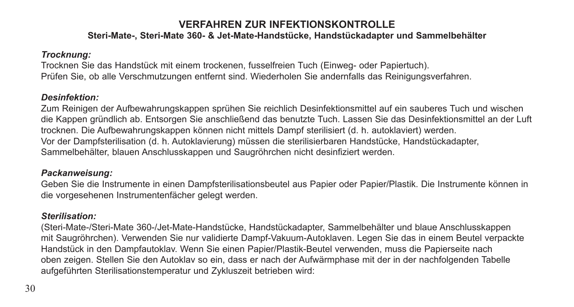### **Steri-Mate-, Steri-Mate 360- & Jet-Mate-Handstücke, Handstückadapter und Sammelbehälter**

### *Trocknung:*

Trocknen Sie das Handstück mit einem trockenen, fusselfreien Tuch (Einweg- oder Papiertuch). Prüfen Sie, ob alle Verschmutzungen entfernt sind. Wiederholen Sie andernfalls das Reinigungsverfahren.

### *Desinfektion:*

Zum Reinigen der Aufbewahrungskappen sprühen Sie reichlich Desinfektionsmittel auf ein sauberes Tuch und wischen die Kappen gründlich ab. Entsorgen Sie anschließend das benutzte Tuch. Lassen Sie das Desinfektionsmittel an der Luft trocknen. Die Aufbewahrungskappen können nicht mittels Dampf sterilisiert (d. h. autoklaviert) werden. Vor der Dampfsterilisation (d. h. Autoklavierung) müssen die sterilisierbaren Handstücke, Handstückadapter, Sammelbehälter, blauen Anschlusskappen und Saugröhrchen nicht desinfiziert werden.

### *Packanweisung:*

Geben Sie die Instrumente in einen Dampfsterilisationsbeutel aus Papier oder Papier/Plastik. Die Instrumente können in die vorgesehenen Instrumentenfächer gelegt werden.

### *Sterilisation:*

(Steri-Mate-/Steri-Mate 360-/Jet-Mate-Handstücke, Handstückadapter, Sammelbehälter und blaue Anschlusskappen mit Saugröhrchen). Verwenden Sie nur validierte Dampf-Vakuum-Autoklaven. Legen Sie das in einem Beutel verpackte Handstück in den Dampfautoklav. Wenn Sie einen Papier/Plastik-Beutel verwenden, muss die Papierseite nach oben zeigen. Stellen Sie den Autoklav so ein, dass er nach der Aufwärmphase mit der in der nachfolgenden Tabelle aufgeführten Sterilisationstemperatur und Zykluszeit betrieben wird: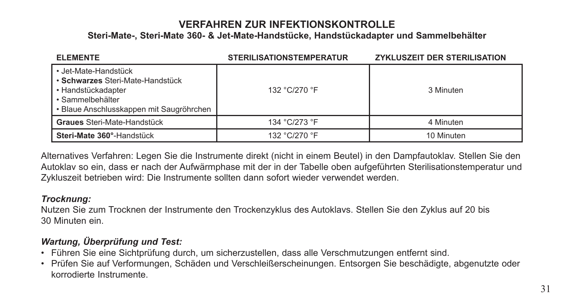**Steri-Mate-, Steri-Mate 360- & Jet-Mate-Handstücke, Handstückadapter und Sammelbehälter**

| <b>ELEMENTE</b>                                                                                                                                | <b>STERILISATIONSTEMPERATUR</b> | <b>ZYKLUSZEIT DER STERILISATION</b> |
|------------------------------------------------------------------------------------------------------------------------------------------------|---------------------------------|-------------------------------------|
| • Jet-Mate-Handstück<br>• Schwarzes Steri-Mate-Handstück<br>• Handstückadapter<br>• Sammelbehälter<br>• Blaue Anschlusskappen mit Saugröhrchen | 132 °C/270 °F                   | 3 Minuten                           |
| Graues Steri-Mate-Handstück                                                                                                                    | 134 °C/273 °F                   | 4 Minuten                           |
| Steri-Mate 360°-Handstück                                                                                                                      | 132 °C/270 °F                   | 10 Minuten                          |

Alternatives Verfahren: Legen Sie die Instrumente direkt (nicht in einem Beutel) in den Dampfautoklav. Stellen Sie den Autoklav so ein, dass er nach der Aufwärmphase mit der in der Tabelle oben aufgeführten Sterilisationstemperatur und Zykluszeit betrieben wird: Die Instrumente sollten dann sofort wieder verwendet werden.

### *Trocknung:*

Nutzen Sie zum Trocknen der Instrumente den Trockenzyklus des Autoklavs. Stellen Sie den Zyklus auf 20 bis 30 Minuten ein.

### *Wartung, Überprüfung und Test:*

- Führen Sie eine Sichtprüfung durch, um sicherzustellen, dass alle Verschmutzungen entfernt sind.
- Prüfen Sie auf Verformungen, Schäden und Verschleißerscheinungen. Entsorgen Sie beschädigte, abgenutzte oder korrodierte Instrumente.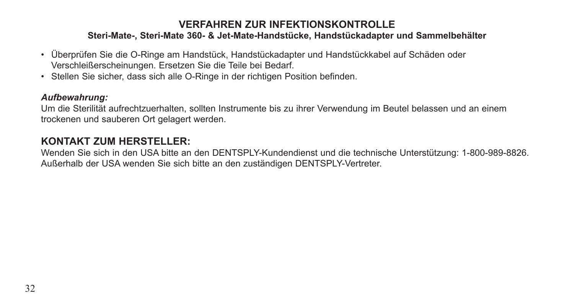### **Steri-Mate-, Steri-Mate 360- & Jet-Mate-Handstücke, Handstückadapter und Sammelbehälter**

- Überprüfen Sie die O-Ringe am Handstück, Handstückadapter und Handstückkabel auf Schäden oder Verschleißerscheinungen. Ersetzen Sie die Teile bei Bedarf.
- Stellen Sie sicher, dass sich alle O-Ringe in der richtigen Position befinden.

### *Aufbewahrung:*

Um die Sterilität aufrechtzuerhalten, sollten Instrumente bis zu ihrer Verwendung im Beutel belassen und an einem trockenen und sauberen Ort gelagert werden.

## **KONTAKT ZUM HERSTELLER:**

Wenden Sie sich in den USA bitte an den DENTSPLY-Kundendienst und die technische Unterstützung: 1-800-989-8826. Außerhalb der USA wenden Sie sich bitte an den zuständigen DENTSPLY-Vertreter.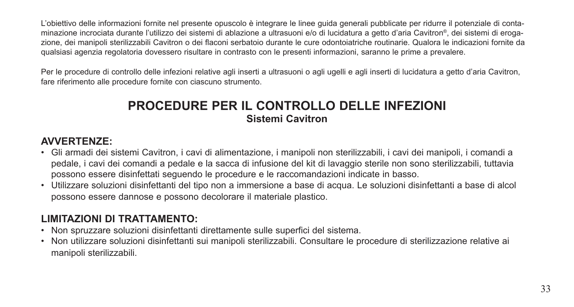L'obiettivo delle informazioni fornite nel presente opuscolo è integrare le linee guida generali pubblicate per ridurre il potenziale di contaminazione incrociata durante l'utilizzo dei sistemi di ablazione a ultrasuoni e/o di lucidatura a getto d'aria Cavitron®, dei sistemi di erogazione, dei manipoli sterilizzabili Cavitron o dei flaconi serbatoio durante le cure odontoiatriche routinarie. Qualora le indicazioni fornite da qualsiasi agenzia regolatoria dovessero risultare in contrasto con le presenti informazioni, saranno le prime a prevalere.

Per le procedure di controllo delle infezioni relative agli inserti a ultrasuoni o agli ugelli e agli inserti di lucidatura a getto d'aria Cavitron, fare riferimento alle procedure fornite con ciascuno strumento.

## **PROCEDURE PER IL CONTROLLO DELLE INFEZIONI Sistemi Cavitron**

## **AVVERTENZE:**

- Gli armadi dei sistemi Cavitron, i cavi di alimentazione, i manipoli non sterilizzabili, i cavi dei manipoli, i comandi a pedale, i cavi dei comandi a pedale e la sacca di infusione del kit di lavaggio sterile non sono sterilizzabili, tuttavia possono essere disinfettati seguendo le procedure e le raccomandazioni indicate in basso.
- Utilizzare soluzioni disinfettanti del tipo non a immersione a base di acqua. Le soluzioni disinfettanti a base di alcol possono essere dannose e possono decolorare il materiale plastico.

## **LIMITAZIONI DI TRATTAMENTO:**

- Non spruzzare soluzioni disinfettanti direttamente sulle superfici del sistema.
- Non utilizzare soluzioni disinfettanti sui manipoli sterilizzabili. Consultare le procedure di sterilizzazione relative ai manipoli sterilizzabili.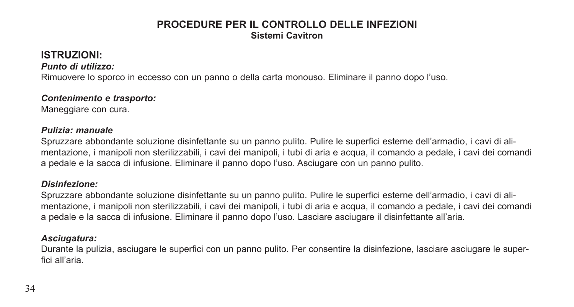### **PROCEDURE PER IL CONTROLLO DELLE INFEZIONI Sistemi Cavitron**

## **ISTRUZIONI:**

*Punto di utilizzo:* 

Rimuovere lo sporco in eccesso con un panno o della carta monouso. Eliminare il panno dopo l'uso.

#### *Contenimento e trasporto:*

Maneggiare con cura.

### *Pulizia: manuale*

Spruzzare abbondante soluzione disinfettante su un panno pulito. Pulire le superfici esterne dell'armadio, i cavi di alimentazione, i manipoli non sterilizzabili, i cavi dei manipoli, i tubi di aria e acqua, il comando a pedale, i cavi dei comandi a pedale e la sacca di infusione. Eliminare il panno dopo l'uso. Asciugare con un panno pulito.

### *Disinfezione:*

Spruzzare abbondante soluzione disinfettante su un panno pulito. Pulire le superfici esterne dell'armadio, i cavi di alimentazione, i manipoli non sterilizzabili, i cavi dei manipoli, i tubi di aria e acqua, il comando a pedale, i cavi dei comandi a pedale e la sacca di infusione. Eliminare il panno dopo l'uso. Lasciare asciugare il disinfettante all'aria.

### *Asciugatura:*

Durante la pulizia, asciugare le superfici con un panno pulito. Per consentire la disinfezione, lasciare asciugare le superfici all'aria.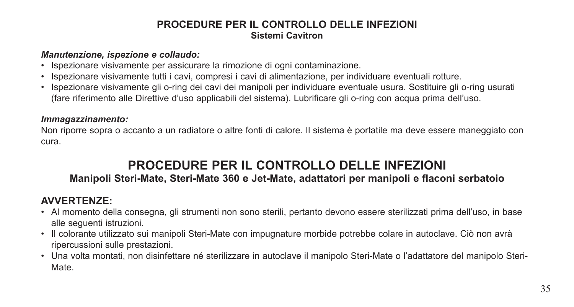### **PROCEDURE PER IL CONTROLLO DELLE INFEZIONI Sistemi Cavitron**

#### *Manutenzione, ispezione e collaudo:*

- Ispezionare visivamente per assicurare la rimozione di ogni contaminazione.
- Ispezionare visivamente tutti i cavi, compresi i cavi di alimentazione, per individuare eventuali rotture.
- Ispezionare visivamente gli o-ring dei cavi dei manipoli per individuare eventuale usura. Sostituire gli o-ring usurati (fare riferimento alle Direttive d'uso applicabili del sistema). Lubrificare gli o-ring con acqua prima dell'uso.

### *Immagazzinamento:*

Non riporre sopra o accanto a un radiatore o altre fonti di calore. Il sistema è portatile ma deve essere maneggiato con cura.

## **PROCEDURE PER IL CONTROLLO DELLE INFEZIONI Manipoli Steri-Mate, Steri-Mate 360 e Jet-Mate, adattatori per manipoli e flaconi serbatoio**

## **AVVERTENZE:**

- Al momento della consegna, gli strumenti non sono sterili, pertanto devono essere sterilizzati prima dell'uso, in base alle seguenti istruzioni.
- Il colorante utilizzato sui manipoli Steri-Mate con impugnature morbide potrebbe colare in autoclave. Ciò non avrà ripercussioni sulle prestazioni.
- Una volta montati, non disinfettare né sterilizzare in autoclave il manipolo Steri-Mate o l'adattatore del manipolo Steri-Mate.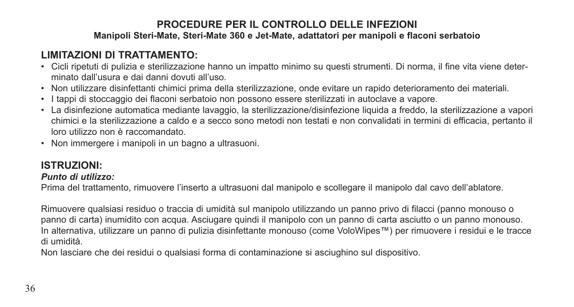### **LIMITAZIONI DI TRATTAMENTO:**

- Cicli ripetuti di pulizia e sterilizzazione hanno un impatto minimo su questi strumenti. Di norma, il fine vita viene determinato dall'usura e dai danni dovuti all'uso.
- Non utilizzare disinfettanti chimici prima della sterilizzazione, onde evitare un rapido deterioramento dei materiali.
- I tappi di stoccaggio dei flaconi serbatoio non possono essere sterilizzati in autoclave a vapore.
- La disinfezione automatica mediante lavaggio, la sterilizzazione/disinfezione liquida a freddo, la sterilizzazione a vapori chimici e la sterilizzazione a caldo e a secco sono metodi non testati e non convalidati in termini di efficacia, pertanto il loro utilizzo non è raccomandato.
- Non immergere i manipoli in un bagno a ultrasuoni.

### **ISTRUZIONI:**

### *Punto di utilizzo:*

Prima del trattamento, rimuovere l'inserto a ultrasuoni dal manipolo e scollegare il manipolo dal cavo dell'ablatore.

Rimuovere qualsiasi residuo o traccia di umidità sul manipolo utilizzando un panno privo di filacci (panno monouso o panno di carta) inumidito con acqua. Asciugare quindi il manipolo con un panno di carta asciutto o un panno monouso. In alternativa, utilizzare un panno di pulizia disinfettante monouso (come VoloWipes™) per rimuovere i residui e le tracce di umidità.

Non lasciare che dei residui o qualsiasi forma di contaminazione si asciughino sul dispositivo.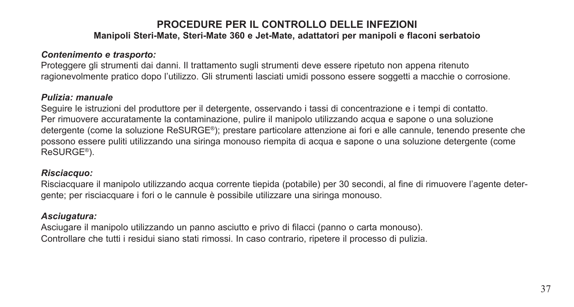### *Contenimento e trasporto:*

Proteggere gli strumenti dai danni. Il trattamento sugli strumenti deve essere ripetuto non appena ritenuto ragionevolmente pratico dopo l'utilizzo. Gli strumenti lasciati umidi possono essere soggetti a macchie o corrosione.

#### *Pulizia: manuale*

Seguire le istruzioni del produttore per il detergente, osservando i tassi di concentrazione e i tempi di contatto. Per rimuovere accuratamente la contaminazione, pulire il manipolo utilizzando acqua e sapone o una soluzione detergente (come la soluzione ReSURGE®); prestare particolare attenzione ai fori e alle cannule, tenendo presente che possono essere puliti utilizzando una siringa monouso riempita di acqua e sapone o una soluzione detergente (come ReSURGE®).

#### *Risciacquo:*

Risciacquare il manipolo utilizzando acqua corrente tiepida (potabile) per 30 secondi, al fine di rimuovere l'agente detergente; per risciacquare i fori o le cannule è possibile utilizzare una siringa monouso.

### *Asciugatura:*

Asciugare il manipolo utilizzando un panno asciutto e privo di filacci (panno o carta monouso). Controllare che tutti i residui siano stati rimossi. In caso contrario, ripetere il processo di pulizia.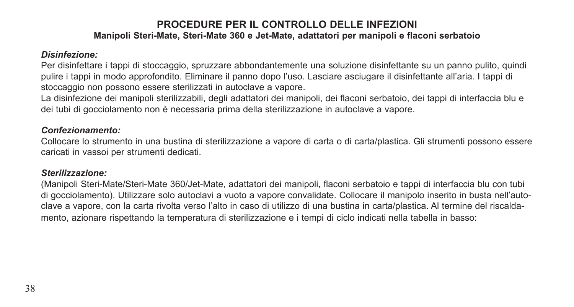#### *Disinfezione:*

Per disinfettare i tappi di stoccaggio, spruzzare abbondantemente una soluzione disinfettante su un panno pulito, quindi pulire i tappi in modo approfondito. Eliminare il panno dopo l'uso. Lasciare asciugare il disinfettante all'aria. I tappi di stoccaggio non possono essere sterilizzati in autoclave a vapore.

La disinfezione dei manipoli sterilizzabili, degli adattatori dei manipoli, dei flaconi serbatoio, dei tappi di interfaccia blu e dei tubi di gocciolamento non è necessaria prima della sterilizzazione in autoclave a vapore.

#### *Confezionamento:*

Collocare lo strumento in una bustina di sterilizzazione a vapore di carta o di carta/plastica. Gli strumenti possono essere caricati in vassoi per strumenti dedicati.

#### *Sterilizzazione:*

(Manipoli Steri-Mate/Steri-Mate 360/Jet-Mate, adattatori dei manipoli, flaconi serbatoio e tappi di interfaccia blu con tubi di gocciolamento). Utilizzare solo autoclavi a vuoto a vapore convalidate. Collocare il manipolo inserito in busta nell'autoclave a vapore, con la carta rivolta verso l'alto in caso di utilizzo di una bustina in carta/plastica. Al termine del riscaldamento, azionare rispettando la temperatura di sterilizzazione e i tempi di ciclo indicati nella tabella in basso: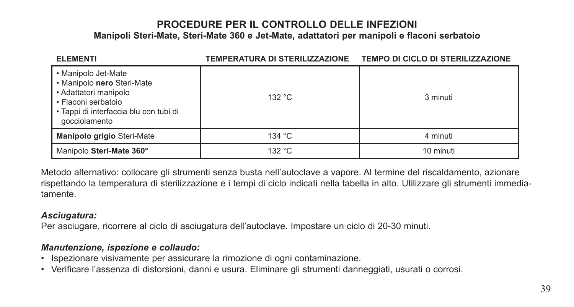| <b>ELEMENTI</b>                                                                                                                                              | TEMPERATURA DI STERILIZZAZIONE | <b>TEMPO DI CICLO DI STERILIZZAZIONE</b> |
|--------------------------------------------------------------------------------------------------------------------------------------------------------------|--------------------------------|------------------------------------------|
| • Manipolo Jet-Mate<br>. Manipolo nero Steri-Mate<br>• Adattatori manipolo<br>• Flaconi serbatoio<br>· Tappi di interfaccia blu con tubi di<br>gocciolamento | 132 °C                         | 3 minuti                                 |
| Manipolo grigio Steri-Mate                                                                                                                                   | 134 $\degree$ C                | 4 minuti                                 |
| Manipolo Steri-Mate 360°                                                                                                                                     | 132 °C                         | 10 minuti                                |

Metodo alternativo: collocare gli strumenti senza busta nell'autoclave a vapore. Al termine del riscaldamento, azionare rispettando la temperatura di sterilizzazione e i tempi di ciclo indicati nella tabella in alto. Utilizzare gli strumenti immediatamente.

#### *Asciugatura:*

Per asciugare, ricorrere al ciclo di asciugatura dell'autoclave. Impostare un ciclo di 20-30 minuti.

### *Manutenzione, ispezione e collaudo:*

- Ispezionare visivamente per assicurare la rimozione di ogni contaminazione.
- Verificare l'assenza di distorsioni, danni e usura. Eliminare gli strumenti danneggiati, usurati o corrosi.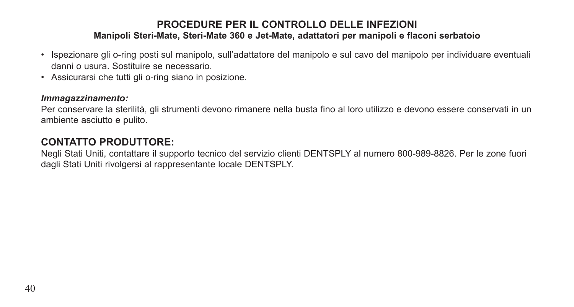- Ispezionare gli o-ring posti sul manipolo, sull'adattatore del manipolo e sul cavo del manipolo per individuare eventuali danni o usura. Sostituire se necessario.
- Assicurarsi che tutti gli o-ring siano in posizione.

#### *Immagazzinamento:*

Per conservare la sterilità, gli strumenti devono rimanere nella busta fino al loro utilizzo e devono essere conservati in un ambiente asciutto e pulito.

### **CONTATTO PRODUTTORE:**

Negli Stati Uniti, contattare il supporto tecnico del servizio clienti DENTSPLY al numero 800-989-8826. Per le zone fuori dagli Stati Uniti rivolgersi al rappresentante locale DENTSPLY.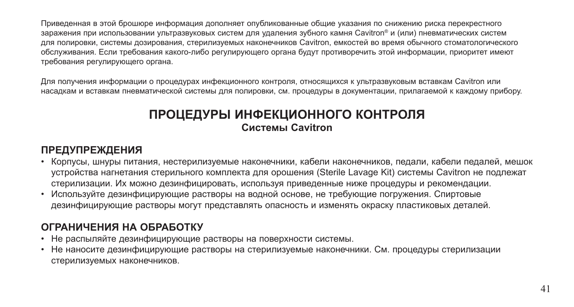Приведенная в этой брошюре информация дополняет опубликованные общие указания по снижению риска перекрестного заражения при использовании ультразвуковых систем для удаления зубного камня Cavitron® и (или) пневматических систем для полировки, системы дозирования, стерилизуемых наконечников Cavitron, емкостей во время обычного стоматологического обслуживания. Если требования какого-либо регулирующего органа будут противоречить этой информации, приоритет имеют требования регулирующего органа.

Для получения информации о процедурах инфекционного контроля, относящихся к ультразвуковым вставкам Cavitron или насадкам и вставкам пневматической системы для полировки, см. процедуры в документации, прилагаемой к каждому прибору.

## **ПРОЦЕДУРЫ ИНФЕКЦИОННОГО КОНТРОЛЯ Системы Cavitron**

## **ПРЕДУПРЕЖДЕНИЯ**

- Корпусы, шнуры питания, нестерилизуемые наконечники, кабели наконечников, педали, кабели педалей, мешок устройства нагнетания стерильного комплекта для орошения (Sterile Lavage Kit) системы Cavitron не подлежат стерилизации. Их можно дезинфицировать, используя приведенные ниже процедуры и рекомендации.
- Используйте дезинфицирующие растворы на водной основе, не требующие погружения. Спиртовые дезинфицирующие растворы могут представлять опасность и изменять окраску пластиковых деталей.

## **ОГРАНИЧЕНИЯ НА ОБРАБОТКУ**

- Не распыляйте дезинфицирующие растворы на поверхности системы.
- Не наносите дезинфицирующие растворы на стерилизуемые наконечники. См. процедуры стерилизации стерилизуемых наконечников.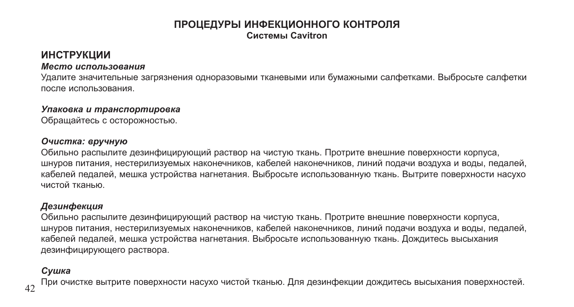### **ПРОЦЕДУРЫ ИНФЕКЦИОННОГО КОНТРОЛЯ Системы Cavitron**

### **ИНСТРУКЦИИ**

#### *Место использования*

Удалите значительные загрязнения одноразовыми тканевыми или бумажными салфетками. Выбросьте салфетки после использования.

#### *Упаковка и транспортировка*

Обращайтесь с осторожностью.

#### *Очистка: вручную*

Обильно распылите дезинфицирующий раствор на чистую ткань. Протрите внешние поверхности корпуса, шнуров питания, нестерилизуемых наконечников, кабелей наконечников, линий подачи воздуха и воды, педалей, кабелей педалей, мешка устройства нагнетания. Выбросьте использованную ткань. Вытрите поверхности насухо чистой тканью.

### *Дезинфекция*

Обильно распылите дезинфицирующий раствор на чистую ткань. Протрите внешние поверхности корпуса, шнуров питания, нестерилизуемых наконечников, кабелей наконечников, линий подачи воздуха и воды, педалей, кабелей педалей, мешка устройства нагнетания. Выбросьте использованную ткань. Дождитесь высыхания дезинфицирующего раствора.

### *Сушка*

При очистке вытрите поверхности насухо чистой тканью. Для дезинфекции дождитесь высыхания поверхностей.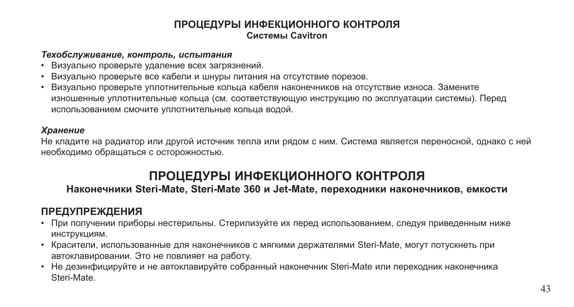### **ПРОЦЕДУРЫ ИНФЕКЦИОННОГО КОНТРОЛЯ Системы Cavitron**

#### *Техобслуживание, контроль, испытания*

- Визуально проверьте удаление всех загрязнений.
- Визуально проверьте все кабели и шнуры питания на отсутствие порезов.
- Визуально проверьте уплотнительные кольца кабеля наконечников на отсутствие износа. Замените изношенные уплотнительные кольца (см. соответствующую инструкцию по эксплуатации системы). Перед использованием смочите уплотнительные кольца водой.

### *Хранение*

Не кладите на радиатор или другой источник тепла или рядом с ним. Система является переносной, однако с ней необходимо обращаться с осторожностью.

## **ПРОЦЕДУРЫ ИНФЕКЦИОННОГО КОНТРОЛЯ**

### **Наконечники Steri-Mate, Steri-Mate 360 и Jet-Mate, переходники наконечников, емкости**

## **ПРЕДУПРЕЖДЕНИЯ**

- При получении приборы нестерильны. Стерилизуйте их перед использованием, следуя приведенным ниже инструкциям.
- Красители, использованные для наконечников с мягкими держателями Steri-Mate, могут потускнеть при автоклавировании. Это не повлияет на работу.
- Не дезинфицируйте и не автоклавируйте собранный наконечник Steri-Mate или переходник наконечника Steri-Mate.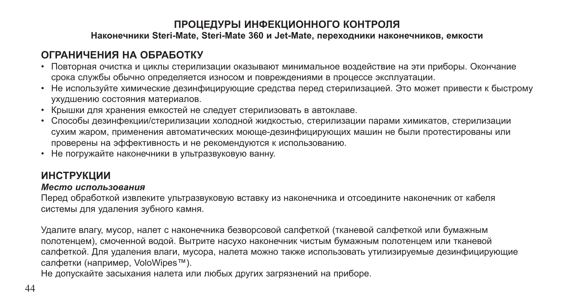### **Наконечники Steri-Mate, Steri-Mate 360 и Jet-Mate, переходники наконечников, емкости**

## **ОГРАНИЧЕНИЯ НА ОБРАБОТКУ**

- Повторная очистка и циклы стерилизации оказывают минимальное воздействие на эти приборы. Окончание срока службы обычно определяется износом и повреждениями в процессе эксплуатации.
- Не используйте химические дезинфицирующие средства перед стерилизацией. Это может привести к быстрому ухудшению состояния материалов.
- Крышки для хранения емкостей не следует стерилизовать в автоклаве.
- Способы дезинфекции/стерилизации холодной жидкостью, стерилизации парами химикатов, стерилизации сухим жаром, применения автоматических моюще-дезинфицирующих машин не были протестированы или проверены на эффективность и не рекомендуются к использованию.
- Не погружайте наконечники в ультразвуковую ванну.

## **ИНСТРУКЦИИ**

### *Место использования*

Перед обработкой извлеките ультразвуковую вставку из наконечника и отсоедините наконечник от кабеля системы для удаления зубного камня.

Удалите влагу, мусор, налет с наконечника безворсовой салфеткой (тканевой салфеткой или бумажным полотенцем), смоченной водой. Вытрите насухо наконечник чистым бумажным полотенцем или тканевой салфеткой. Для удаления влаги, мусора, налета можно также использовать утилизируемые дезинфицирующие салфетки (например, VoloWipes™).

Не допускайте засыхания налета или любых других загрязнений на приборе.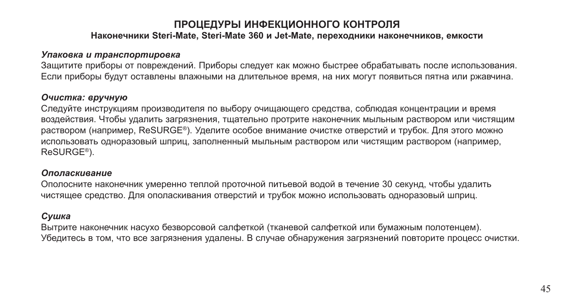### **ПРОЦЕДУРЫ ИНФЕКЦИОННОГО КОНТРОЛЯ Наконечники Steri-Mate, Steri-Mate 360 и Jet-Mate, переходники наконечников, емкости**

#### *Упаковка и транспортировка*

Защитите приборы от повреждений. Приборы следует как можно быстрее обрабатывать после использования. Если приборы будут оставлены влажными на длительное время, на них могут появиться пятна или ржавчина.

#### *Очистка: вручную*

Следуйте инструкциям производителя по выбору очищающего средства, соблюдая концентрации и время воздействия. Чтобы удалить загрязнения, тщательно протрите наконечник мыльным раствором или чистящим раствором (например, ReSURGE®). Уделите особое внимание очистке отверстий и трубок. Для этого можно использовать одноразовый шприц, заполненный мыльным раствором или чистящим раствором (например, ReSURGE®).

#### *Ополаскивание*

Ополосните наконечник умеренно теплой проточной питьевой водой в течение 30 секунд, чтобы удалить чистящее средство. Для ополаскивания отверстий и трубок можно использовать одноразовый шприц.

#### *Сушка*

Вытрите наконечник насухо безворсовой салфеткой (тканевой салфеткой или бумажным полотенцем). Убедитесь в том, что все загрязнения удалены. В случае обнаружения загрязнений повторите процесс очистки.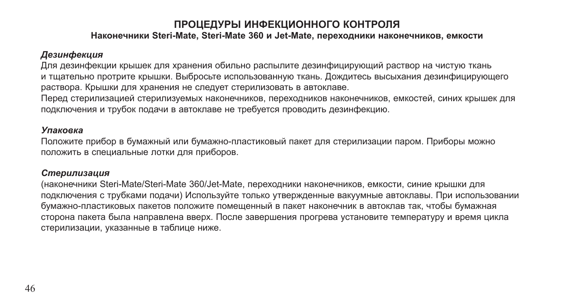### **Наконечники Steri-Mate, Steri-Mate 360 и Jet-Mate, переходники наконечников, емкости**

### *Дезинфекция*

Для дезинфекции крышек для хранения обильно распылите дезинфицирующий раствор на чистую ткань и тщательно протрите крышки. Выбросьте использованную ткань. Дождитесь высыхания дезинфицирующего раствора. Крышки для хранения не следует стерилизовать в автоклаве.

Перед стерилизацией стерилизуемых наконечников, переходников наконечников, емкостей, синих крышек для подключения и трубок подачи в автоклаве не требуется проводить дезинфекцию.

#### *Упаковка*

Положите прибор в бумажный или бумажно-пластиковый пакет для стерилизации паром. Приборы можно положить в специальные лотки для приборов.

#### *Стерилизация*

(наконечники Steri-Mate/Steri-Mate 360/Jet-Mate, переходники наконечников, емкости, синие крышки для подключения с трубками подачи) Используйте только утвержденные вакуумные автоклавы. При использовании бумажно-пластиковых пакетов положите помещенный в пакет наконечник в автоклав так, чтобы бумажная сторона пакета была направлена вверх. После завершения прогрева установите температуру и время цикла стерилизации, указанные в таблице ниже.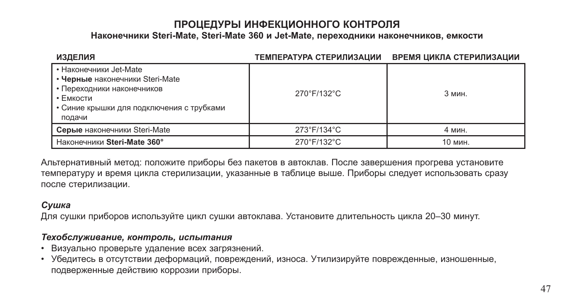### **Наконечники Steri-Mate, Steri-Mate 360 и Jet-Mate, переходники наконечников, емкости**

| <b>ИЗДЕЛИЯ</b>                                                                                                                                              | ТЕМПЕРАТУРА СТЕРИЛИЗАЦИИ | ВРЕМЯ ЦИКЛА СТЕРИЛИЗАЦИИ |
|-------------------------------------------------------------------------------------------------------------------------------------------------------------|--------------------------|--------------------------|
| • Наконечники Jet-Mate<br>• Черные наконечники Steri-Mate<br>• Переходники наконечников<br>• Емкости<br>• Синие крышки для подключения с трубками<br>подачи | 270°F/132°C              | 3 мин.                   |
| Серые наконечники Steri-Mate                                                                                                                                | 273°F/134°C              | 4 мин.                   |
| Наконечники Steri-Mate 360°                                                                                                                                 | 270°F/132°C              | 10 мин.                  |

Альтернативный метод: положите приборы без пакетов в автоклав. После завершения прогрева установите температуру и время цикла стерилизации, указанные в таблице выше. Приборы следует использовать сразу после стерилизации.

### *Сушка*

Для сушки приборов используйте цикл сушки автоклава. Установите длительность цикла 20–30 минут.

### *Техобслуживание, контроль, испытания*

- Визуально проверьте удаление всех загрязнений.
- Убедитесь в отсутствии деформаций, повреждений, износа. Утилизируйте поврежденные, изношенные, подверженные действию коррозии приборы.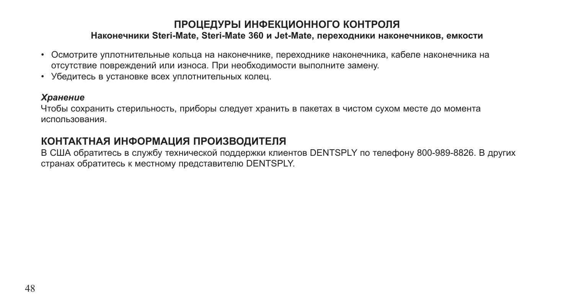### **Наконечники Steri-Mate, Steri-Mate 360 и Jet-Mate, переходники наконечников, емкости**

- Осмотрите уплотнительные кольца на наконечнике, переходнике наконечника, кабеле наконечника на отсутствие повреждений или износа. При необходимости выполните замену.
- Убедитесь в установке всех уплотнительных колец.

#### *Хранение*

Чтобы сохранить стерильность, приборы следует хранить в пакетах в чистом сухом месте до момента использования.

### **КОНТАКТНАЯ ИНФОРМАЦИЯ ПРОИЗВОДИТЕЛЯ**

В США обратитесь в службу технической поддержки клиентов DENTSPLY по телефону 800-989-8826. В других странах обратитесь к местному представителю DENTSPLY.